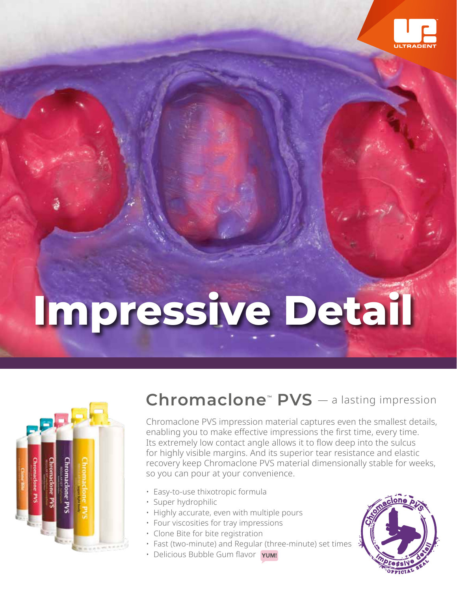

# **Impressive Detail**



## **Chromaclone™ PVS** — a lasting impression

Chromaclone PVS impression material captures even the smallest details, enabling you to make effective impressions the first time, every time. Its extremely low contact angle allows it to flow deep into the sulcus for highly visible margins. And its superior tear resistance and elastic recovery keep Chromaclone PVS material dimensionally stable for weeks, so you can pour at your convenience.

- Easy-to-use thixotropic formula
- Super hydrophilic
	- Highly accurate, even with multiple pours
	- Four viscosities for tray impressions
	- Clone Bite for bite registration
	- Fast (two-minute) and Regular (three-minute) set times
- Delicious Bubble Gum flavor YUM!